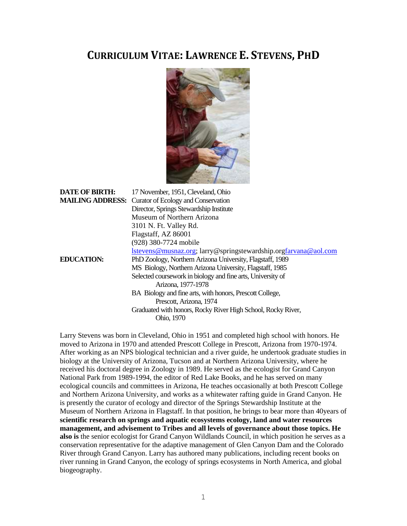# **CURRICULUM VITAE: LAWRENCE E. STEVENS, PHD**



| <b>DATE OF BIRTH:</b>   | 17 November, 1951, Cleveland, Ohio                                      |
|-------------------------|-------------------------------------------------------------------------|
| <b>MAILING ADDRESS:</b> | Curator of Ecology and Conservation                                     |
|                         | Director, Springs Stewardship Institute                                 |
|                         | Museum of Northern Arizona                                              |
|                         | 3101 N. Ft. Valley Rd.                                                  |
|                         | Flagstaff, AZ 86001                                                     |
|                         | (928) 380-7724 mobile                                                   |
|                         | <u>Istevens@musnaz.org</u> ; larry@springstewardship.orgfarvana@aol.com |
| <b>EDUCATION:</b>       | PhD Zoology, Northern Arizona University, Flagstaff, 1989               |
|                         | MS Biology, Northern Arizona University, Flagstaff, 1985                |
|                         | Selected coursework in biology and fine arts, University of             |
|                         | Arizona, 1977-1978                                                      |
|                         | BA Biology and fine arts, with honors, Prescott College,                |
|                         | Prescott, Arizona, 1974                                                 |
|                         | Graduated with honors, Rocky River High School, Rocky River,            |
|                         | Ohio, 1970                                                              |

Larry Stevens was born in Cleveland, Ohio in 1951 and completed high school with honors. He moved to Arizona in 1970 and attended Prescott College in Prescott, Arizona from 1970-1974. After working as an NPS biological technician and a river guide, he undertook graduate studies in biology at the University of Arizona, Tucson and at Northern Arizona University, where he received his doctoral degree in Zoology in 1989. He served as the ecologist for Grand Canyon National Park from 1989-1994, the editor of Red Lake Books, and he has served on many ecological councils and committees in Arizona, He teaches occasionally at both Prescott College and Northern Arizona University, and works as a whitewater rafting guide in Grand Canyon. He is presently the curator of ecology and director of the Springs Stewardship Institute at the Museum of Northern Arizona in Flagstaff. In that position, he brings to bear more than 40years of **scientific research on springs and aquatic ecosystems ecology, land and water resources management, and advisement to Tribes and all levels of governance about those topics. He also is** the senior ecologist for Grand Canyon Wildlands Council, in which position he serves as a conservation representative for the adaptive management of Glen Canyon Dam and the Colorado River through Grand Canyon. Larry has authored many publications, including recent books on river running in Grand Canyon, the ecology of springs ecosystems in North America, and global biogeography.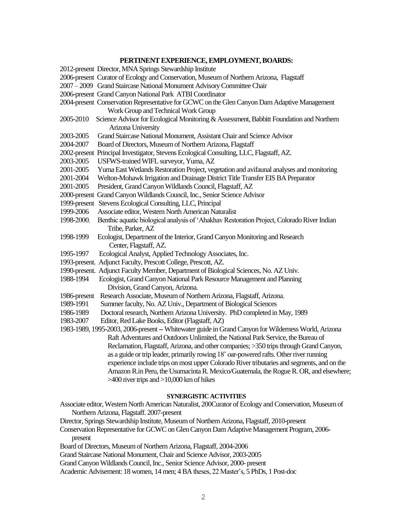#### **PERTINENT EXPERIENCE, EMPLOYMENT, BOARDS:**

- 2012-present Director, MNA Springs Stewardship Institute
- 2006-present Curator of Ecology and Conservation, Museum of Northern Arizona, Flagstaff
- 2007 2009 Grand Staircase National Monument Advisory Committee Chair
- 2006-present Grand Canyon National Park ATBI Coordinator
- 2004-present Conservation Representative for GCWC on the GlenCanyon Dam Adaptive Management Work Group and Technical Work Group
- 2005-2010 Science Advisor for Ecological Monitoring & Assessment, Babbitt Foundation and Northern Arizona University
- 2003-2005 Grand Staircase National Monument, Assistant Chair and Science Advisor
- 2004-2007 Board of Directors, Museum of Northern Arizona, Flagstaff
- 2002-present Principal Investigator, Stevens Ecological Consulting, LLC, Flagstaff, AZ.
- 2003-2005 USFWS-trained WIFL surveyor, Yuma, AZ
- 2001-2005 Yuma East Wetlands Restoration Project, vegetation and avifaunal analyses and monitoring
- 2001-2004 Welton-Mohawk Irrigation and Drainage District Title Transfer EIS BA Preparator
- 2001-2005 President, Grand Canyon Wildlands Council, Flagstaff, AZ
- 2000-present Grand Canyon Wildlands Council, Inc., Senior Science Advisor
- 1999-present Stevens Ecological Consulting, LLC, Principal
- 1999-2006 Associate editor, Western North American Naturalist
- 1998-2000. Benthic aquatic biological analysis of 'Ahakhav Restoration Project, Colorado River Indian Tribe, Parker, AZ
- 1998-1999 Ecologist, Department of the Interior, Grand Canyon Monitoring and Research Center, Flagstaff, AZ.
- 1995-1997 Ecological Analyst, Applied Technology Associates, Inc.
- 1993-present. Adjunct Faculty, Prescott College, Prescott, AZ.
- 1990-present. Adjunct Faculty Member, Department of Biological Sciences, No. AZ Univ.
- 1988-1994 Ecologist, Grand Canyon National Park Resource Management and Planning Division, Grand Canyon, Arizona.
- 1986-present Research Associate, Museum of Northern Arizona, Flagstaff, Arizona.
- 1989-1991 Summer faculty, No. AZ Univ., Department of Biological Sciences
- 1986-1989 Doctoral research, Northern Arizona University. PhD completed in May, 1989
- 1983-2007 Editor, Red Lake Books, Editor (Flagstaff, AZ)

1983-1989, 1995-2003, 2006-present--Whitewater guide in Grand Canyon for Wilderness World, Arizona Raft Adventures and Outdoors Unlimited, the National Park Service, the Bureau of Reclamation, Flagstaff, Arizona, and other companies; >350 trips through Grand Canyon, as a guide or trip leader, primarily rowing 18' oar-powered rafts. Other river running experience include trips onmost upper Colorado River tributaries and segments, and on the Amazon R.in Peru, the UsumacintaR. Mexico/Guatemala, the Rogue R. OR, and elsewhere; >400 river trips and >10,000 km of hikes

#### **SYNERGISTIC ACTIVITIES**

- Associate editor, Western North American Naturalist, 200Curator of Ecology and Conservation, Museum of Northern Arizona, Flagstaff. 2007-present
- Director, Springs Stewardship Institute, Museum of Northern Arizona, Flagstaff, 2010-present
- Conservation Representative for GCWC on Glen Canyon Dam Adaptive Management Program, 2006 present
- Board of Directors, Museum of Northern Arizona, Flagstaff, 2004-2006
- Grand Staircase National Monument, Chair and Science Advisor, 2003-2005
- Grand Canyon Wildlands Council, Inc., Senior Science Advisor, 2000- present

Academic Advisement: 18 women, 14 men; 4 BA theses, 22 Master's, 5 PhDs, 1 Post-doc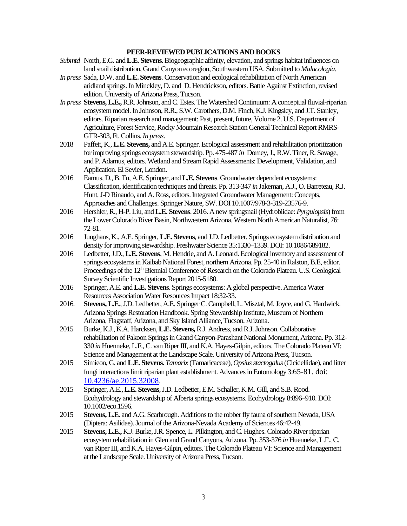## **PEER-REVIEWED PUBLICATIONS AND BOOKS**

- *Submtd* North, E.G. and **L.E. Stevens.**Biogeographic affinity, elevation, and springs habitat influences on land snail distribution, Grand Canyon ecoregion, Southwestern USA. Submitted to *Malacologia*.
- *In press* Sada, D.W. and **L.E. Stevens**. Conservation and ecological rehabilitation of North American aridland springs. In Minckley, D. and D. Hendrickson, editors. Battle Against Extinction, revised edition. University of Arizona Press, Tucson.
- *In press* **Stevens, L.E.,**R.R. Johnson, and C. Estes. The Watershed Continuum: A conceptual fluvial-riparian ecosystem model. In Johnson, R.R., S.W. Carothers, D.M. Finch, K.J. Kingsley, and J.T. Stanley, editors. Riparian research and management: Past, present, future, Volume 2. U.S. Department of Agriculture, Forest Service, Rocky Mountain Research Station General Technical Report RMRS-GTR-303, Ft. Collins. *In press*.
- 2018 Paffett, K., **L.E. Stevens,** and A.E. Springer. Ecological assessment and rehabilitation prioritization for improving springs ecosystem stewardship. Pp. 475-487 *in* Dorney, J., R.W. Tiner, R. Savage, and P. Adamus, editors. Wetland and Stream Rapid Assessments: Development, Validation, and Application. El Sevier, London.
- 2016 Eamus, D., B. Fu, A.E. Springer, and **L.E. Stevens**. Groundwater dependent ecosystems: Classification, identification techniques and threats. Pp. 313-347 *in* Jakeman, A.J., O. Barreteau, R.J. Hunt, J-D Rinaudo, and A. Ross, editors. Integrated Groundwater Management: Concepts, Approaches and Challenges. Springer Nature, SW. DOI 10.1007/978-3-319-23576-9.
- 2016 Hershler, R., H-P. Liu, and **L.E. Stevens**. 2016. A new springsnail (Hydrobiidae: *Pyrgulopsis*) from the Lower Colorado River Basin, Northwestern Arizona. Western North American Naturalist, 76: 72-8[1.](http://dx.doi.org/10.3398/064.076.0108)
- 2016 Junghans, K., A.E. Springer,**L.E. Stevens**, and J.D. Ledbetter. Springs ecosystem distribution and density for improving stewardship. Freshwater Science 35:1330–1339. DOI: 10.1086/689182.
- 2016 Ledbetter, J.D., **L.E. Stevens**, M. Hendrie, and A. Leonard. Ecological inventory and assessment of springs ecosystems in Kaibab National Forest, northern Arizona. Pp. 25-40 in Ralston, B.E, editor. Proceedings of the 12<sup>th</sup> Biennial Conference of Research on the Colorado Plateau. U.S. Geological Survey Scientific Investigations Report 2015-5180.
- 2016 Springer, A.E. and **L.E. Stevens**. Springs ecosystems: A global perspective. America Water Resources Association Water Resources Impact 18:32-33.
- 2016. **Stevens, L.E**., J.D. Ledbetter, A.E. Springer C. Campbell, L. Misztal, M. Joyce, and G. Hardwick. Arizona Springs Restoration Handbook. Spring Stewardship Institute, Museum of Northern Arizona, Flagstaff, Arizona, and Sky Island Alliance, Tucson, Arizona.
- 2015 Burke, K.J., K.A. Harcksen, **L.E. Stevens,**R.J. Andress, and R.J. Johnson. Collaborative rehabilitation of Pakoon Springs in Grand Canyon-Parashant National Monument, Arizona. Pp. 312- 330 *in* Huenneke, L.F., C. van Riper III, and K.A. Hayes-Gilpin, editors. The Colorado Plateau VI: Science and Management at the Landscape Scale. University of Arizona Press, Tucson.
- 2015 Simieon, G. and **L.E. Stevens.** *Tamarix* (Tamaricaceae), *Opsius stactogalus*(Cicidellidae), and litter fungi interactions limit riparian plant establishment. Advances in Entomology 3:65-81. doi: [10.4236/ae.2015.32008.](http://dx.doi.org/10.4236/ae.2015.32008)
- 2015 Springer, A.E., **L.E. Stevens**, J.D. Ledbetter, E.M. Schaller, K.M. Gill, and S.B. Rood. Ecohydrology and stewardship of Alberta springs ecosystems. Ecohydrology 8:896–910. DOI: 10.1002/eco.1596.
- 2015 **Stevens, L.E**. and A.G. Scarbrough. Additions to the robber fly fauna of southern Nevada, USA (Diptera: Asilidae). Journal of the Arizona-Nevada Academy of Sciences 46:42-49.
- 2015 **Stevens, L.E.,** K.J. Burke, J.R. Spence, L. Pilkington, and C. Hughes. Colorado River riparian ecosystem rehabilitation in Glen and Grand Canyons, Arizona. Pp. 353-376 *in* Huenneke, L.F., C. van Riper III, and K.A. Hayes-Gilpin, editors. The Colorado Plateau VI: Science and Management at the Landscape Scale. University of Arizona Press, Tucson.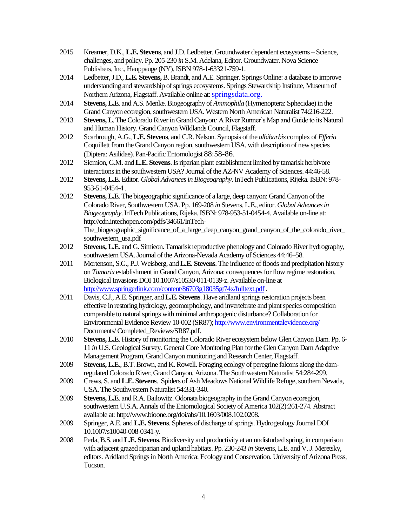- 2015 Kreamer, D.K., **L.E. Stevens**, and J.D. Ledbetter. Groundwater dependent ecosystems Science, challenges, and policy. Pp. 205-230 *in* S.M. Adelana, Editor. Groundwater. Nova Science Publishers, Inc., Hauppauge (NY). ISBN 978-1-63321-759-1.
- 2014 Ledbetter, J.D., **L.E. Stevens,**B. Brandt, and A.E. Springer. Springs Online: a database to improve understanding and stewardship of springs ecosystems. Springs Stewardship Institute, Museum of Northern Arizona, Flagstaff. Available online at: springsdata.org.
- 2014 **Stevens, L.E**. and A.S. Menke. Biogeography of *Ammophila* (Hymenoptera: Sphecidae) in the Grand Canyon ecoregion, southwestern USA. Western North American Naturalist 74:216-222.
- 2013 **Stevens, L**. The Colorado River in Grand Canyon: A River Runner's Map and Guide to its Natural and Human History. Grand Canyon Wildlands Council, Flagstaff.
- 2012 Scarbrough, A.G., **L.E. Stevens**, and C.R. Nelson. Synopsis of the *albibarbis* complex of *Efferia* Coquillett from the Grand Canyon region, southwestern USA, with description of new species (Diptera: Asilidae). Pan-Pacific Entomologist 88:58-86.
- 2012 Siemion, G.M. and **L.E. Stevens**. Is riparian plant establishment limited by tamarisk herbivore interactions in the southwestern USA? Journal of the AZ-NV Academy of Sciences. 44:46-58.
- 2012 **Stevens, L.E**. Editor. *Global Advances in Biogeography*. InTech Publications, Rijeka[. ISBN: 978-](http://www.intechopen.com/books/global-advances-in-biogeography) [953-51-0454-4](http://www.intechopen.com/books/global-advances-in-biogeography) .
- 2012 **Stevens, L.E**. The biogeographic significance of a large, deep canyon: Grand Canyon of the Colorado River, Southwestern USA. Pp. 169-208 *in* Stevens, L.E., editor. *Global Advances in Biogeography*. InTech Publications, Rijeka[. ISBN: 978-953-51-0454-4.](http://www.intechopen.com/books/global-advances-in-biogeography) Available on-line at: http://cdn.intechopen.com/pdfs/34661/InTech-The\_biogeographic\_significance\_of\_a\_large\_deep\_canyon\_grand\_canyon\_of\_the\_colorado\_river\_ southwestern\_usa.pdf
- 2012 **Stevens, L.E**. and G. Simieon. Tamarisk reproductive phenology and Colorado River hydrography, southwestern USA. Journal of the Arizona-Nevada Academy of Sciences 44:46–58.
- 2011 Mortenson, S.G., P.J. Weisberg, and **L.E. Stevens**. The influence of floods and precipitation history on *Tamarix* establishment in Grand Canyon, Arizona: consequences for flow regime restoration. Biological Invasions DOI 10.1007/s10530-011-0139-z. Available on-line at <http://www.springerlink.com/content/86703g18035gt74x/fulltext.pdf>.
- 2011 Davis, C.J., A.E. Springer, and **L.E. Stevens**. Have aridland springs restoration projects been effective in restoring hydrology, geomorphology, and invertebrate and plant species composition comparable to natural springs with minimal anthropogenic disturbance? Collaboration for Environmental Evidence Review 10-002 (SR87)[; http://www.environmentalevidence.org/](http://www.environmentalevidence.org/) Documents/ Completed\_Reviews/SR87.pdf.
- 2010 **Stevens, L.E**. History of monitoring the Colorado River ecosystem below Glen Canyon Dam. Pp. 6- 11 *in* U.S. Geological Survey. General Core Monitoring Plan for the Glen Canyon Dam Adaptive Management Program, Grand Canyon monitoring and Research Center, Flagstaff.
- 2009 **Stevens, L.E**.,B.T. Brown, and K. Rowell. Foraging ecology of peregrine falcons along the damregulated Colorado River, Grand Canyon, Arizona. The Southwestern Naturalist 54:284-299.
- 2009 Crews, S. and **L.E. Stevens**. Spiders of Ash Meadows National Wildlife Refuge, southern Nevada, USA. The Southwestern Naturalist 54:331-340.
- 2009 **Stevens, L.E**. and R.A. Bailowitz. Odonata biogeography in the Grand Canyon ecoregion, southwestern U.S.A. Annals of the Entomological Society of America 102(2):261-274. Abstract available at: http://www.bioone.org/doi/abs/10.1603/008.102.0208.
- 2009 Springer, A.E. and **L.E. Stevens**. Spheres of discharge of springs. Hydrogeology Journal DOI 10.1007/s10040-008-0341-y.
- 2008 Perla, B.S. and **L.E. Stevens**.Biodiversity and productivity at an undisturbed spring, in comparison with adjacent grazed riparian and upland habitats. Pp. 230-243 *in* Stevens, L.E. and V. J. Meretsky, editors. Aridland Springs in North America: Ecology and Conservation. University of Arizona Press, Tucson.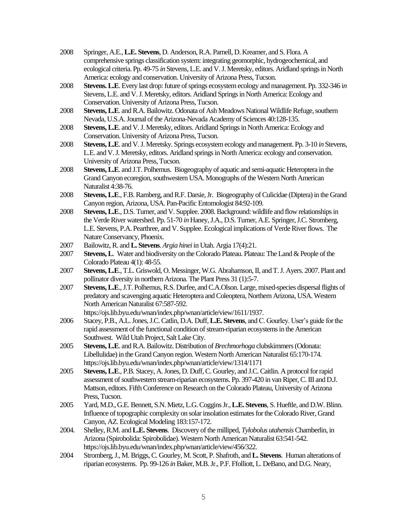- 2008 Springer, A.E., **L.E. Stevens**, D. Anderson, R.A. Parnell, D. Kreamer, and S. Flora. A comprehensive springs classification system: integrating geomorphic, hydrogeochemical, and ecological criteria. Pp. 49-75 *in* Stevens, L.E. and V. J. Meretsky, editors. Aridland springs in North America: ecology and conservation. University of Arizona Press, Tucson.
- 2008 **Stevens. L.E**. Every last drop: future of springs ecosystem ecology and management. Pp. 332-346 i*n* Stevens, L.E. and V. J. Meretsky, editors. Aridland Springs in North America: Ecology and Conservation. University of Arizona Press, Tucson.
- 2008 **Stevens, L.E**. and R.A. Bailowitz. Odonata of Ash Meadows National Wildlife Refuge, southern Nevada, U.S.A. Journal of the Arizona-Nevada Academy of Sciences 40:128-135.
- 2008 **Stevens, L.E**. and V. J. Meretsky, editors. Aridland Springs in North America: Ecology and Conservation. University of Arizona Press, Tucson.
- 2008 **Stevens, L.E**. and V. J. Meretsky. Springs ecosystem ecology and management. Pp. 3-10 *in* Stevens, L.E. and V. J. Meretsky, editors. Aridland springs in North America: ecology and conservation. University of Arizona Press, Tucson.
- 2008 **Stevens, L.E**. and J.T. Polhemus. Biogeography of aquatic and semi-aquatic Heteroptera in the Grand Canyon ecoregion, southwestern USA. Monographs of the Western North American Naturalist 4:38-76.
- 2008 **Stevens, L.E**., F.B. Ramberg, and R.F. Darsie, Jr. Biogeography of Culicidae (Diptera) in the Grand Canyon region, Arizona, USA. Pan-Pacific Entomologist 84:92-109*.*
- 2008 **Stevens, L.E**., D.S. Turner, and V. Supplee. 2008. Background: wildlife and flow relationships in the Verde River watershed. Pp. 51-70 *in* Haney, J.A., D.S. Turner, A.E. Springer, J.C. Stromberg, L.E. Stevens, P.A. Pearthree, and V. Supplee. Ecological implications of Verde River flows. The Nature Conservancy, Phoenix.
- 2007 Bailowitz, R. and **L. Stevens**. *Argia hinei* in Utah. Argia 17(4):21.
- 2007 **Stevens, L**. Water and biodiversity on the Colorado Plateau. Plateau: The Land & People of the Colorado Plateau 4(1): 48-55.
- 2007 **Stevens, L.E**.,T.L. Griswold, O. Messinger, W.G. Abrahamson, II, and T. J. Ayers. 2007. Plant and pollinator diversity in northern Arizona. The Plant Press 31 (1):5-7.
- 2007 **Stevens, L.E**., J.T. Polhemus, R.S. Durfee, andC.A.Olson. Large, mixed-species dispersal flights of predatory and scavenging aquatic Heteroptera and Coleoptera, Northern Arizona, USA. Western North American Naturalist 67:587-592.
	- https://ojs.lib.byu.edu/wnan/index.php/wnan/article/view/1611/1937.
- 2006 Stacey, P.B., A.L. Jones, J.C. Catlin, D.A. Duff, **L.E. Stevens**, and C. Gourley. User's guide for the rapid assessment of the functional condition of stream-riparian ecosystems in the American Southwest. Wild Utah Project, Salt Lake City.
- 2005 **Stevens, L.E**. and R.A. Bailowitz. Distribution of *Brechmorhoga* clubskimmers (Odonata: Libellulidae) in the Grand Canyon region. Western North American Naturalist 65:170-174. https://ojs.lib.byu.edu/wnan/index.php/wnan/article/view/1314/1171
- 2005 **Stevens, L.E**., P.B. Stacey, A. Jones, D. Duff, C. Gourley, and J.C. Caitlin. A protocol for rapid assessment of southwestern stream-riparian ecosystems. Pp. 397-420 in van Riper, C. III and D.J. Mattson, editors. Fifth Conference on Research on the Colorado Plateau, University of Arizona Press, Tucson.
- 2005 Yard, M.D., G.E. Bennett, S.N. Mietz, L.G. Coggins Jr., **L.E. Stevens**, S. Hueftle, and D.W. Blinn. Influence of topographic complexity on solar insolation estimates for the Colorado River, Grand Canyon, AZ. Ecological Modeling 183:157-172.
- 2004. Shelley, R.M. and**L.E. Stevens**. Discovery of the milliped, *Tylobolus utahensis*Chamberlin, in Arizona (Spirobolida: Spirobolidae). Western North American Naturalist 63:541-542. https://ojs.lib.byu.edu/wnan/index.php/wnan/article/view/456/322.
- 2004 Stromberg, J., M. Briggs, C. Gourley, M. Scott, P. Shafroth, and **L. Stevens**. Human alterations of riparian ecosystems. Pp. 99-126 in Baker, M.B. Jr., P.F. Ffolliott, L. DeBano, and D.G. Neary,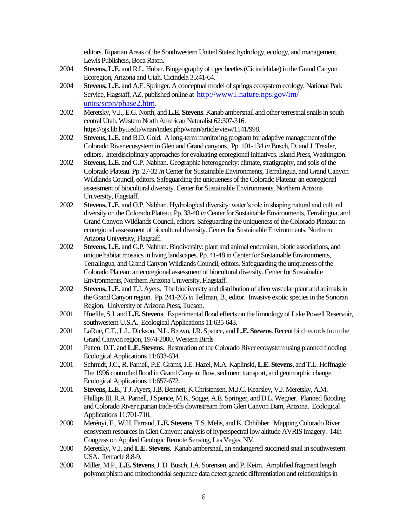editors. Riparian Areas of the Southwestern United States: hydrology, ecology, and management. Lewis Publishers, Boca Raton.

- 2004 **Stevens, L.E**. and R.L. Huber. Biogeography of tiger beetles (Cicindelidae) in the Grand Canyon Ecoregion, Arizona and Utah. Cicindela 35:41-64.
- 2004 **Stevens, L.E**. and A.E. Springer. A conceptual model of springs ecosystem ecology. National Park Service, Flagstaff, AZ, published online at [http://www1.nature.nps.gov/im/](http://www1.nature.nps.gov/im/%20units/scpn/phase2.htm)  [units/scpn/phase2.htm.](http://www1.nature.nps.gov/im/%20units/scpn/phase2.htm)
- 2002 Meretsky, V.J., E.G. North, and **L.E. Stevens**. Kanab ambersnail and other terrestrial snails in south central Utah. Western North American Naturalist 62:307-316. https://ojs.lib.byu.edu/wnan/index.php/wnan/article/view/1141/998.
- 2002 **Stevens, L.E**. and B.D. Gold. A long-term monitoring program for adaptive management of the Colorado River ecosystem in Glen and Grand canyons. Pp. 101-134 *in*Busch, D. and J. Trexler, editors. Interdisciplinary approaches for evaluating ecoregional initiatives. Island Press, Washington.
- 2002 **Stevens, L.E.** and G.P. Nabhan. Geographic heterogeneity: climate, stratigraphy, and soils of the Colorado Plateau. Pp. 27-32 *in*Center for Sustainable Environments, Terralingua, and Grand Canyon Wildlands Council, editors. Safeguarding the uniqueness of the Colorado Plateau: an ecoregional assessment of biocultural diversity. Center for Sustainable Environments, Northern Arizona University, Flagstaff.
- 2002 **Stevens, L.E**. and G.P. Nabhan. Hydrological diversity: water's role in shaping natural and cultural diversity on the Colorado Plateau. Pp. 33-40 *in* Center for Sustainable Environments, Terralingua, and Grand Canyon Wildlands Council, editors. Safeguarding the uniqueness of the Colorado Plateau: an ecoregional assessment of biocultural diversity. Center for Sustainable Environments, Northern Arizona University, Flagstaff.
- 2002 **Stevens, L.E**. and G.P. Nabhan. Biodiversity: plant and animal endemism, biotic associations, and unique habitat mosaics in living landscapes. Pp. 41-48 in Center for Sustainable Environments, Terralingua, and Grand Canyon Wildlands Council, editors. Safeguarding the uniqueness of the Colorado Plateau: an ecoregional assessment of biocultural diversity. Center for Sustainable Environments, Northern Arizona University, Flagstaff.
- 2002 **Stevens, L.E**. and T.J. Ayers. The biodiversity and distribution of alien vascular plant and animals in the Grand Canyon region. Pp. 241-265 *in*Tellman, B., editor. Invasive exotic species in the Sonoran Region. University of Arizona Press, Tucson.
- 2001 Hueftle, S.J. and **L.E. Stevens**. Experimental flood effects on the limnology of Lake Powell Reservoir, southwestern U.S.A. Ecological Applications 11:635-643.
- 2001 LaRue, C.T., L.L. Dickson, N.L. Brown, J.R. Spence, and **L.E. Stevens**. Recent bird records from the Grand Canyon region, 1974-2000. Western Birds.
- 2001 Patten, D.T. and **L.E. Stevens.** Restoration of the Colorado River ecosystem using planned flooding. Ecological Applications 11:633-634*.*
- 2001 Schmidt, J.C., R. Parnell, P.E. Grams, J.E. Hazel, M.A. Kaplinski, **L.E. Stevens**, and T.L. Hoffnagle The 1996 controlled flood in Grand Canyon: flow, sediment transport, and geomorphic change. Ecological Applications 11:657-672.
- 2001 **Stevens, L.E**., T.J. Ayers, J.B. Bennett, K.Christensen, M.J.C. Kearsley, V.J. Meretsky, A.M. Phillips III, R.A. Parnell, J.Spence, M.K. Sogge, A.E. Springer, and D.L. Wegner. Planned flooding and Colorado River riparian trade-offs downstream from Glen Canyon Dam, Arizona. Ecological Applications 11:701-710.
- 2000 Merényi, E., W.H. Farrand, **L.E. Stevens**, T.S. Melis, and K. Chhibber. Mapping Colorado River ecosystem resources in Glen Canyon: analysis of hyperspectral low altitude AVRIS imagery. 14th Congress on Applied Geologic Remote Sensing, Las Vegas, NV.
- 2000 Meretsky, V.J. and **L.E. Stevens**. Kanab ambersnail, an endangered succineid snail in southwestern USA. Tentacle 8:8-9.
- 2000 Miller, M.P.,**L.E. Stevens**, J. D. Busch, J.A. Sorensen, and P. Keim. Amplified fragment length polymorphism and mitochondrial sequence data detect genetic differentiation and relationships in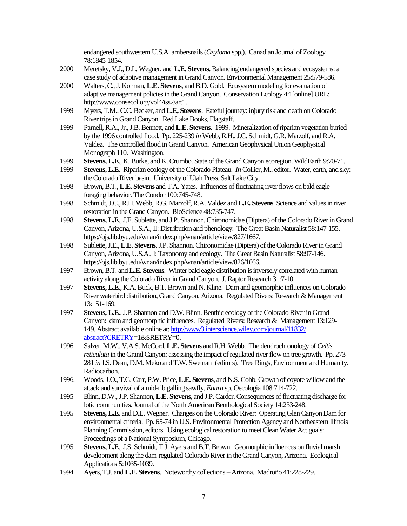endangered southwestern U.S.A. ambersnails (*Oxyloma* spp.). Canadian Journal of Zoology 78:1845-1854.

- 2000 Meretsky, V.J., D.L. Wegner, and **L.E. Stevens.**Balancing endangered species and ecosystems: a case study of adaptive management in Grand Canyon. Environmental Management 25:579-586.
- 2000 Walters, C., J. Korman, **L.E. Stevens**, and B.D. Gold. Ecosystem modeling for evaluation of adaptive management policies in the Grand Canyon. Conservation Ecology 4:1[online] URL: http://www.consecol.org/vol4/iss2/art1.
- 1999 Myers, T.M., C.C. Becker, and **L.E, Stevens**. Fateful journey: injury risk and death on Colorado River trips in Grand Canyon. Red Lake Books, Flagstaff.
- 1999 Parnell, R.A., Jr., J.B. Bennett, and **L.E. Stevens**. 1999. Mineralization of riparian vegetation buried by the 1996 controlled flood. Pp. 225-239 *in*Webb, R.H., J.C. Schmidt, G.R. Marzolf, and R.A. Valdez. The controlled flood in Grand Canyon. American Geophysical Union Geophysical Monograph 110. Washington.
- 1999 **Stevens, L.E**., K. Burke, and K. Crumbo. State of the Grand Canyon ecoregion. WildEarth 9:70-71.
- 1999 **Stevens, L.E**. Riparian ecology of the Colorado Plateau. *In*Collier, M., editor. Water, earth, and sky: the Colorado River basin. University of Utah Press, Salt Lake City.
- 1998 Brown, B.T., **L.E. Stevens** and T.A. Yates. Influences of fluctuating river flows on bald eagle foraging behavior. The Condor 100:745-748.
- 1998 Schmidt, J.C., R.H. Webb, R.G. Marzolf, R.A. Valdez and **L.E. Stevens**. Science and values in river restoration in the Grand Canyon. BioScience 48:735-747.
- 1998 **Stevens, L.E**., J.E. Sublette, and J.P. Shannon. Chironomidae (Diptera) of the Colorado River in Grand Canyon, Arizona, U.S.A., II: Distribution and phenology. The Great Basin Naturalist 58:147-155. https://ojs.lib.byu.edu/wnan/index.php/wnan/article/view/827/1667.
- 1998 Sublette, J.E., **L.E. Stevens**, J.P. Shannon. Chironomidae (Diptera) of the Colorado River in Grand Canyon, Arizona, U.S.A., I: Taxonomy and ecology. The Great Basin Naturalist 58:97-146. https://ojs.lib.byu.edu/wnan/index.php/wnan/article/view/826/1666.
- 1997 Brown, B.T. and **L.E. Stevens**. Winter bald eagle distribution is inversely correlated with human activity along the Colorado River in Grand Canyon. J. Raptor Research 31:7-10.
- 1997 **Stevens, L.E**., K.A. Buck, B.T. Brown and N. Kline. Dam and geomorphic influences on Colorado River waterbird distribution, Grand Canyon, Arizona. Regulated Rivers: Research & Management 13:151-169.
- 1997 **Stevens, L.E**., J.P. Shannon and D.W. Blinn. Benthic ecology of the Colorado River in Grand Canyon: dam and geomorphic influences. Regulated Rivers: Research & Management 13:129- 149. Abstract available online at[: http://www3.interscience.wiley.com/journal/11832/](http://www3.interscience.wiley.com/journal/11832/%20abstract?CRETRY)  [abstract?CRETRY=](http://www3.interscience.wiley.com/journal/11832/%20abstract?CRETRY)1&SRETRY=0.
- 1996 Salzer, M.W., V.A.S. McCord, **L.E. Stevens** and R.H. Webb. The dendrochronology of *Celtis reticulata* in the Grand Canyon: assessing the impact of regulated river flow on tree growth. Pp. 273- 281 *in* J.S. Dean, D.M. Meko and T.W. Swetnam (editors). Tree Rings, Environment and Humanity. Radiocarbon.
- 1996. Woods, J.O., T.G. Carr, P.W. Price, **L.E. Stevens**, and N.S. Cobb. Growth of coyote willow and the attack and survival of a mid-rib galling sawfly, *Euura* sp. Oecologia 108:714-722.
- 1995 Blinn, D.W., J.P. Shannon, **L.E. Stevens,** and J.P. Carder. Consequences of fluctuating discharge for lotic communities. Journal of the North American Benthological Society 14:233-248.
- 1995 **Stevens, L.E**. and D.L. Wegner. Changes on the Colorado River: Operating Glen Canyon Dam for environmental criteria. Pp. 65-74 in U.S. Environmental Protection Agency and Northeastern Illinois Planning Commission, editors. Using ecological restoration to meet Clean Water Act goals: Proceedings of a National Symposium, Chicago.
- 1995 **Stevens, L.E**., J.S. Schmidt, T.J. Ayers and B.T. Brown. Geomorphic influences on fluvial marsh development along the dam-regulated Colorado River in the Grand Canyon, Arizona. Ecological Applications 5:1035-1039.
- 1994. Ayers, T.J. and **L.E. Stevens**. Noteworthy collections Arizona. Madroño 41:228-229.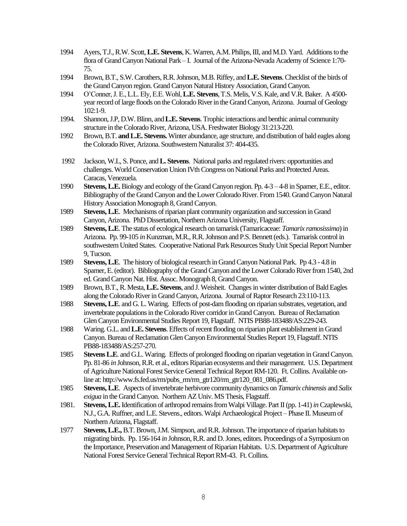- 1994 Ayers, T.J., R.W. Scott, **L.E. Stevens**, K. Warren, A.M. Philips, III, and M.D. Yard. Additions to the flora of Grand Canyon National Park – I. Journal of the Arizona-Nevada Academy of Science 1:70- 75.
- 1994 Brown, B.T., S.W. Carothers, R.R. Johnson, M.B. Riffey, and **L.E. Stevens**. Checklist of the birds of the Grand Canyon region. Grand Canyon Natural History Association, Grand Canyon.
- 1994 O'Conner, J. E., L.L. Ely, E.E. Wohl, **L.E. Stevens**, T.S. Melis, V.S. Kale, and V.R. Baker. A 4500 year record of large floods on the Colorado River in the Grand Canyon, Arizona. Journal of Geology 102:1-9.
- 1994. Shannon, J.P, D.W. Blinn, and **L.E. Stevens**. Trophic interactions and benthic animal community structure in the Colorado River, Arizona, USA. Freshwater Biology 31:213-220.
- 1992 Brown, B.T. **and L.E. Stevens.** Winter abundance, age structure, and distribution of bald eagles along the Colorado River, Arizona. Southwestern Naturalist 37: 404-435.
- 1992 Jackson, W.L, S. Ponce, and **L. Stevens**. National parks and regulated rivers: opportunities and challenges. World Conservation Union IVth Congress on National Parks and Protected Areas. Caracas, Venezuela.
- 1990 **Stevens, L.E.**Biology and ecology of the Grand Canyon region. Pp. 4-3 4-8 in Spamer, E.E., editor. Bibliography of the Grand Canyon and the Lower Colorado River. From 1540. Grand Canyon Natural History Association Monograph 8, Grand Canyon.
- 1989 **Stevens, L.E**. Mechanisms of riparian plant community organization and succession in Grand Canyon, Arizona. PhD Dissertation, Northern Arizona University, Flagstaff.
- 1989 **Stevens, L.E**. The status of ecological research on tamarisk (Tamaricaceae: *Tamarix ramosissima*) in Arizona. Pp. 99-105 *in* Kunzman, M.R., R.R. Johnson and P.S. Bennett (eds.). Tamarisk control in southwestern United States. Cooperative National Park Resources Study Unit Special Report Number 9, Tucson.
- 1989 **Stevens, L.E**. The history of biological research in Grand Canyon National Park. Pp 4.3 4.8 in Spamer, E. (editor). Bibliography of the Grand Canyon and the Lower Colorado River from 1540, 2nd ed. Grand Canyon Nat. Hist. Assoc. Monograph 8, Grand Canyon.
- 1989 Brown, B.T., R. Mesta, **L.E. Stevens**, and J. Weisheit. Changes in winter distribution of Bald Eagles along the Colorado River in Grand Canyon, Arizona. Journal of Raptor Research 23:110-113.
- 1988 **Stevens, L.E**. and G. L. Waring. Effects of post-dam flooding on riparian substrates, vegetation, and invertebrate populations in the Colorado River corridor in Grand Canyon. Bureau of Reclamation Glen Canyon Environmental Studies Report 19, Flagstaff. NTIS PB88-183488/AS:229-243.
- 1988 Waring. G.L. and **L.E. Stevens**. Effects of recent flooding on riparian plant establishment in Grand Canyon. Bureau of Reclamation Glen Canyon Environmental Studies Report 19, Flagstaff. NTIS PB88-183488/AS:257-270.
- 1985 **Stevens L.E**. and G.L. Waring. Effects of prolonged flooding on riparian vegetation in Grand Canyon. Pp. 81-86 *in* Johnson, R.R. et al., editors Riparian ecosystems and their management. U.S. Department of Agriculture National Forest Service General Technical Report RM-120. Ft. Collins. Available online at: http://www.fs.fed.us/rm/pubs\_rm/rm\_gtr120/rm\_gtr120\_081\_086.pdf.
- 1985 **Stevens, L.E**. Aspects of invertebrate herbivore community dynamics on *Tamarix chinensis* and *Salix exigua* in the Grand Canyon. Northern AZ Univ. MS Thesis, Flagstaff.
- 1981. **Stevens, L.E.**Identification of arthropod remains from Walpi Village. Part II (pp. 1-41) *in*Czaplewski, N.J., G.A. Ruffner, and L.E. Stevens., editors. Walpi Archaeological Project – Phase II. Museum of Northern Arizona, Flagstaff.
- 1977 **Stevens, L.E.,** B.T. Brown, J.M. Simpson, and R.R. Johnson. The importance of riparian habitats to migrating birds. Pp. 156-164 *in* Johnson, R.R. and D. Jones, editors. Proceedings of a Symposium on the Importance, Preservation and Management of Riparian Habitats. U.S. Department of Agriculture National Forest Service General Technical Report RM-43. Ft. Collins.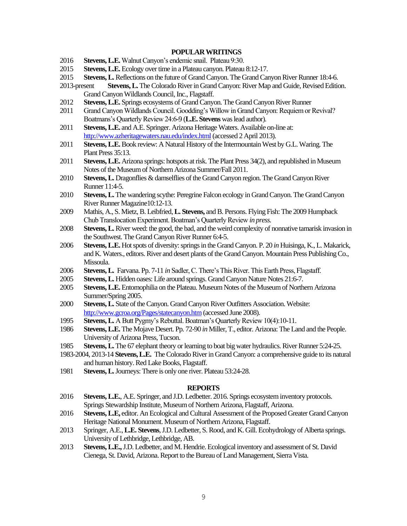# **POPULAR WRITINGS**

- 2016 **Stevens, L.E.**Walnut Canyon's endemic snail. Plateau 9:30.
- 2015 **Stevens, L.E.** Ecology over time in a Plateau canyon. Plateau 8:12-17.
- 2015 **Stevens, L.**Reflections on the future of Grand Canyon. The Grand Canyon River Runner 18:4-6.
- 2013-present **Stevens, L.** The Colorado River in Grand Canyon: River Map and Guide, Revised Edition. Grand Canyon Wildlands Council, Inc., Flagstaff.
- 2012 **Stevens, L.E.** Springs ecosystems of Grand Canyon. The Grand Canyon River Runner
- 2011 Grand Canyon Wildlands Council. Goodding's Willow in Grand Canyon: Requiem or Revival? Boatmans's Quarterly Review 24:6-9 (**L.E. Stevens** was lead author).
- 2011 **Stevens, L.E.** and A.E. Springer. Arizona Heritage Waters. Available on-line at: http://www.azheritagewaters.nau.edu/index.html (accessed 2 April 2013).
- 2011 **Stevens, L.E.**Book review: A Natural History of the Intermountain West by G.L. Waring. The Plant Press 35:13.
- 2011 **Stevens, L.E.** Arizona springs: hotspots at risk. The Plant Press 34(2), and republished in Museum Notes of the Museum of Northern Arizona Summer/Fall 2011.
- 2010 **Stevens, L.** Dragonflies & damselflies of the Grand Canyon region. The Grand Canyon River Runner 11:4-5.
- 2010 **Stevens, L.** The wandering scythe: Peregrine Falcon ecology in Grand Canyon. The Grand Canyon River Runner Magazine10:12-13.
- 2009 Mathis, A., S. Mietz, B. Leibfried, **L. Stevens,** and B. Persons. Flying Fish: The 2009 Humpback Chub Translocation Experiment. Boatman's Quarterly Review *in press.*
- 2008 **Stevens, L.**River weed: the good, the bad, and the weird complexity of nonnative tamarisk invasion in the Southwest. The Grand Canyon River Runner 6:4-5.
- 2006 **Stevens, L.E.** Hot spots of diversity: springs in the Grand Canyon. P. 20 *in* Huisinga, K., L. Makarick, and K. Waters., editors. River and desert plants of the Grand Canyon. Mountain Press Publishing Co., Missoula.
- 2006 **Stevens, L.** Farvana. Pp. 7-11 *in* Sadler, C. There's This River. This Earth Press, Flagstaff.
- 2005 **Stevens, L.** Hidden oases: Life around springs. Grand Canyon Nature Notes 21:6-7.
- 2005 **Stevens, L.E.** Entomophilia on the Plateau. Museum Notes of the Museum of Northern Arizona Summer/Spring 2005.
- 2000 **Stevens, L.** State of the Canyon. Grand Canyon River Outfitters Association. Website: http://www.gcroa.org/Pages/statecanyon.htm (accessed June 2008).
- 1995 **Stevens, L.** A Butt Pygmy's Rebuttal. Boatman's Quarterly Review 10(4):10-11.
- 1986 **Stevens, L.E.** The Mojave Desert. Pp. 72-90 *in* Miller, T., editor. Arizona: The Land and the People. University of Arizona Press, Tucson.
- 1985 **Stevens, L.** The 67 elephant theory or learning to boat big water hydraulics. River Runner 5:24-25.
- 1983-2004, 2013-14 **Stevens, L.E.** The Colorado River in Grand Canyon: a comprehensive guide to its natural and human history. Red Lake Books, Flagstaff.
- 1981 **Stevens, L.**Journeys: There is only one river. Plateau 53:24-28.

#### **REPORTS**

- 2016 **Stevens, L.E.**, A.E. Springer, and J.D. Ledbetter. 2016. Springs ecosysteminventory protocols. Springs Stewardship Institute, Museum of Northern Arizona, Flagstaff, Arizona.
- 2016 **Stevens, L.E,** editor. An Ecological and Cultural Assessment of the Proposed Greater Grand Canyon Heritage National Monument. Museum of Northern Arizona, Flagstaff.
- 2013 Springer, A.E., **L.E. Stevens**, J.D. Ledbetter, S. Rood, and K. Gill. Ecohydrology of Alberta springs. University of Lethbridge, Lethbridge, AB.
- 2013 **Stevens, L.E.,**J.D. Ledbetter, and M. Hendrie. Ecological inventory and assessment of St. David Cienega, St. David, Arizona. Report to the Bureau of Land Management, Sierra Vista.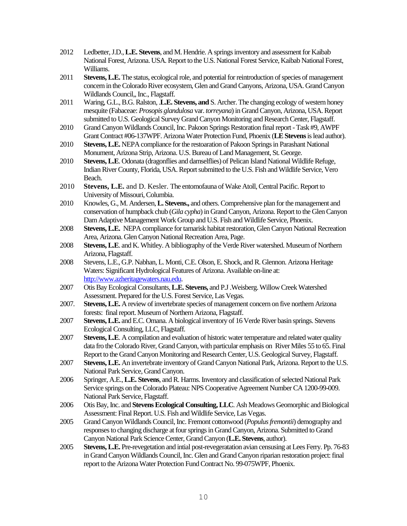- 2012 Ledbetter,J.D., **L.E. Stevens**, and M. Hendrie. A springs inventory and assessment for Kaibab National Forest, Arizona. USA. Report to the U.S. National Forest Service, Kaibab National Forest, Williams.
- 2011 **Stevens, L.E.** The status, ecological role, and potential for reintroduction of species of management concern in the Colorado River ecosystem, Glen and Grand Canyons, Arizona, USA. Grand Canyon Wildlands Council,, Inc., Flagstaff.
- 2011 Waring, G.L., B.G. Ralston, .**L.E. Stevens, and** S. Archer. The changing ecology of western honey mesquite (Fabaceae: *Prosopis glandulosa* var. *torreyana*)in Grand Canyon, Arizona, USA. Report submitted to U.S. Geological Survey Grand Canyon Monitoring and Research Center, Flagstaff.
- 2010 Grand Canyon Wildlands Council, Inc. Pakoon Springs Restoration final report -Task #9, AWPF Grant Contract #06-137WPF. Arizona Water Protection Fund, Phoenix (**LE Stevens**islead author).
- 2010 **Stevens, L.E.** NEPA compliance for the restoaration of Pakoon Springs in Parashant National Monument, Arizona Strip, Arizona. U.S. Bureau of Land Management, St. George.
- 2010 **Stevens, L.E**. Odonata (dragonflies and damselflies) of Pelican Island National Wildlife Refuge, Indian River County, Florida, USA. Report submitted to the U.S. Fish and Wildlife Service, Vero Beach.
- 2010 **Stevens, L.E.** and D. Kesler. The entomofauna of Wake Atoll, Central Pacific. Report to University of Missouri, Columbia.
- 2010 Knowles, G., M. Andersen, **L. Stevens.,** and others. Comprehensive plan for the management and conservation of humpback chub (*Gila cypha*) in Grand Canyon, Arizona. Report to the Glen Canyon Dam Adaptive Management Work Group and U.S. Fish and Wildlife Service, Phoenix.
- 2008 **Stevens, L.E.**NEPA compliance for tamarisk habitat restoration, Glen Canyon National Recreation Area, Arizona. Glen Canyon National Recreation Area, Page.
- 2008 **Stevens, L.E**. and K. Whitley. A bibliography of the Verde River watershed. Museum of Northern Arizona, Flagstaff.
- 2008 Stevens, L.E., G.P. Nabhan, L. Monti, C.E. Olson, E. Shock, and R. Glennon. Arizona Heritage Waters: Significant Hydrological Features of Arizona. Available on-line at: [http://www.azheritagewaters.nau.edu.](http://www.azheritagewaters.nau.edu/)
- 2007 Otis Bay Ecological Consultants, **L.E. Stevens,** and P.J .Weisberg. Willow Creek Watershed Assessment. Prepared for the U.S. Forest Service, Las Vegas.
- 2007. **Stevens, L.E.** A review of invertebrate species of management concern on five northern Arizona forests: final report. Museum of Northern Arizona, Flagstaff.
- 2007 **Stevens,L.E.** and E.C. Omana. A biological inventory of 16 Verde River basin springs. Stevens Ecological Consulting, LLC, Flagstaff.
- 2007 **Stevens, L.E**. A compilation and evaluation of historic water temperature and related water quality data fro the Colorado River, Grand Canyon, with particular emphasis on River Miles 55 to 65. Final Report to the Grand Canyon Monitoring and Research Center, U.S. Geological Survey, Flagstaff.
- 2007 **Stevens, L.E.** An invertebrate inventory of Grand Canyon National Park, Arizona. Report to the U.S. National Park Service, Grand Canyon.
- 2006 Springer, A.E., **L.E. Stevens**, and R. Harms. Inventory and classification of selected National Park Service springs on the Colorado Plateau: NPS Cooperative Agreement Number CA 1200-99-009. National Park Service, Flagstaff.
- 2006 Otis Bay, Inc. and **Stevens Ecological Consulting, LLC**. Ash Meadows Geomorphic and Biological Assessment: Final Report. U.S. Fish and Wildlife Service, Las Vegas.
- 2005 Grand Canyon Wildlands Council, Inc. Fremont cottonwood (*Populus fremontii*) demography and responses to changing discharge at four springs in Grand Canyon, Arizona. Submitted to Grand Canyon National Park Science Center, Grand Canyon (**L.E. Stevens**, author).
- 2005 **Stevens, L.E.** Pre-revegetation and intial post-revegeratation avian censusing at Lees Ferry. Pp. 76-83 in Grand Canyon Wildlands Council, Inc. Glen and Grand Canyon riparian restoration project: final report to the Arizona Water Protection Fund Contract No. 99-075WPF, Phoenix.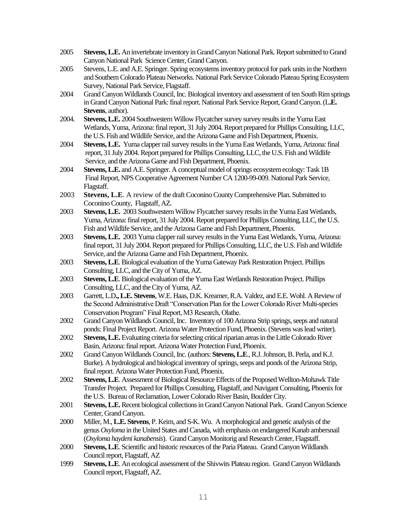- 2005 **Stevens, L.E.** An invertebrate inventory in Grand Canyon National Park. Report submitted to Grand Canyon National Park Science Center, Grand Canyon.
- 2005 Stevens, L.E. and A.E. Springer. Spring ecosystems inventory protocol for park units in the Northern and Southern Colorado Plateau Networks. National Park Service Colorado Plateau Spring Ecosystem Survey, National Park Service, Flagstaff.
- 2004 Grand Canyon Wildlands Council, Inc. Biological inventory and assessment of ten South Rim springs in Grand Canyon National Park: final report. National Park Service Report, Grand Canyon. (L**.E. Stevens**, author).
- 2004. **Stevens, L.E.** 2004 Southwestern Willow Flycatcher survey survey results in the Yuma East Wetlands, Yuma, Arizona: final report, 31 July 2004. Report prepared for Phillips Consulting, LLC, the U.S. Fish and Wildlife Service, and the Arizona Game and Fish Department, Phoenix.
- 2004 **Stevens, L.E.** Yuma clapper rail survey results in the Yuma East Wetlands, Yuma, Arizona: final report, 31 July 2004. Report prepared for Phillips Consulting, LLC, the U.S. Fish and Wildlife Service, and the Arizona Game and Fish Department, Phoenix.
- 2004 **Stevens, L.E.** and A.E. Springer. A conceptual model of springs ecosystem ecology: Task 1B Final Report, NPS Cooperative Agreement Number CA 1200-99-009. National Park Service, Flagstaff.
- 2003 **Stevens, L.E**. A review of the draft Coconino County Comprehensive Plan. Submitted to Coconino County, Flagstaff, AZ.
- 2003 **Stevens, L.E.** 2003 Southwestern Willow Flycatcher survey results in the Yuma East Wetlands, Yuma, Arizona: final report, 31 July 2004. Report prepared for Phillips Consulting, LLC, the U.S. Fish and Wildlife Service, and the Arizona Game and Fish Department, Phoenix.
- 2003 **Stevens, L.E.** 2003 Yuma clapper rail survey results in the Yuma East Wetlands, Yuma, Arizona: final report, 31 July 2004. Report prepared for Phillips Consulting, LLC, the U.S. Fish and Wildlife Service, and the Arizona Game and Fish Department, Phoenix.
- 2003 **Stevens, L.E**. Biological evaluation of the Yuma Gateway Park Restoration Project. Phillips Consulting, LLC, and the City of Yuma, AZ.
- 2003 **Stevens, L.E**. Biological evaluation of the Yuma East Wetlands Restoration Project. Phillips Consulting, LLC, and the City of Yuma, AZ.
- 2003 Garrett, L.D**., L.E. Stevens**, W.E. Haas, D.K. Kreamer, R.A. Valdez, and E.E. Wohl. A Review of the Second Administrative Draft "Conservation Plan for the Lower Colorado River Multi-species Conservation Program" Final Report, M3 Research, Olathe.
- 2002 Grand Canyon Wildlands Council, Inc. Inventory of 100 Arizona Strip springs, seeps and natural ponds: Final Project Report. Arizona Water Protection Fund, Phoenix.(Stevens was lead writer).
- 2002 **Stevens, L.E.** Evaluating criteria for selecting critical riparian areas in the Little Colorado River Basin, Arizona: final report. Arizona Water Protection Fund, Phoenix.
- 2002 Grand Canyon Wildlands Council, Inc. (authors: **Stevens, L.E**., R.J. Johnson, B. Perla, and K.J. Burke). A hydrological and biological inventory of springs, seeps and ponds of the Arizona Strip, final report. Arizona Water Protection Fund, Phoenix.
- 2002 **Stevens, L.E**. Assessment of Biological Resource Effects of the Proposed Wellton-Mohawk Title Transfer Project. Prepared for Phillips Consulting, Flagstaff, and Navigant Consulting, Phoenix for the U.S. Bureau of Reclamation, Lower Colorado River Basin, Boulder City.
- 2001 **Stevens, L.E.**Recent biological collections in Grand Canyon National Park. Grand Canyon Science Center, Grand Canyon.
- 2000 Miller, M., **L.E. Stevens**, P. Keim, and S-K. Wu. A morphological and genetic analysis of the genus *Oxyloma* in the United States and Canada, with emphasis on endangered Kanab ambersnail (*Oxyloma haydeni kanabensis*). Grand Canyon Monitorig and Research Center, Flagstaff.
- 2000 **Stevens, L.E**. Scientific and historic resources of the Paria Plateau. Grand Canyon Wildlands Council report, Flagstaff, AZ
- 1999 **Stevens, L.E**. An ecological assessment of the Shivwits Plateau region. Grand Canyon Wildlands Council report, Flagstaff, AZ.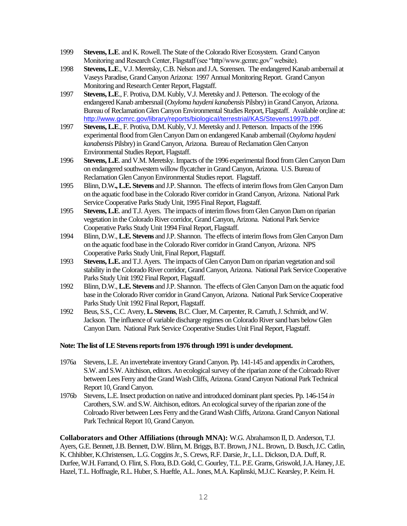- 1999 **Stevens, L.E**. and K. Rowell. The State of the Colorado River Ecosystem. Grand Canyon Monitoring and Research Center, Flagstaff (see "http//www.gcmrc.gov" website).
- 1998 **Stevens, L.E**., V.J. Meretsky, C.B. Nelson and J.A. Sorensen. The endangered Kanab ambernail at Vaseys Paradise, Grand Canyon Arizona: 1997 Annual Monitoring Report. Grand Canyon Monitoring and Research Center Report, Flagstaff.
- 1997 **Stevens, L.E**., F. Protiva, D.M. Kubly, V.J. Meretsky and J. Petterson. The ecology of the endangered Kanab ambersnail (*Oxyloma haydeni kanabensis* Pilsbry) in Grand Canyon, Arizona. Bureau of Reclamation Glen Canyon Environmental Studies Report, Flagstaff. Available on;line at: [http://www.gcmrc.gov/library/reports/biological/terrestrial/KAS/Stevens1997b.pdf.](http://www.gcmrc.gov/library/reports/biological/terrestrial/KAS/Stevens1997b.pdf)
- 1997 **Stevens, L.E**., F. Protiva, D.M. Kubly, V.J. Meretsky and J. Petterson. Impacts of the 1996 experimental flood from Glen Canyon Dam on endangered Kanab ambernail (*Oxyloma haydeni kanabensis* Pilsbry) in Grand Canyon, Arizona. Bureau of Reclamation Glen Canyon Environmental Studies Report, Flagstaff.
- 1996 **Stevens, L.E**. and V.M. Meretsky. Impacts of the 1996 experimental flood from Glen Canyon Dam on endangered southwestern willow flycatcher in Grand Canyon, Arizona. U.S. Bureau of Reclamation Glen Canyon Environmental Studies report. Flagstaff.
- 1995 Blinn, D.W**., L.E. Stevens** and J.P. Shannon. The effects of interim flows from Glen Canyon Dam on the aquatic food base in the Colorado River corridor in Grand Canyon, Arizona. National Park Service Cooperative Parks Study Unit, 1995 Final Report, Flagstaff.
- 1995 **Stevens, L.E**. and T.J. Ayers. The impacts of interim flows from Glen Canyon Dam on riparian vegetation in the Colorado River corridor, Grand Canyon, Arizona. National Park Service Cooperative Parks Study Unit 1994 Final Report, Flagstaff.
- 1994 Blinn, D.W., **L.E. Stevens** and J.P. Shannon. The effects of interim flows from Glen Canyon Dam on the aquatic food base in the Colorado River corridor in Grand Canyon, Arizona. NPS Cooperative Parks Study Unit, Final Report, Flagstaff.
- 1993 **Stevens, L.E.** and T.J. Ayers. The impacts of Glen Canyon Dam on riparian vegetation and soil stability in the Colorado River corridor, Grand Canyon, Arizona. National Park Service Cooperative Parks Study Unit 1992 Final Report, Flagstaff.
- 1992 Blinn, D.W., **L.E. Stevens** and J.P. Shannon. The effects of Glen Canyon Dam on the aquatic food base in the Colorado River corridor in Grand Canyon, Arizona. National Park Service Cooperative Parks Study Unit 1992 Final Report, Flagstaff.
- 1992 Beus, S.S., C.C. Avery, **L. Stevens**, B.C. Cluer, M. Carpenter, R. Carruth, J. Schmidt, and W. Jackson. The influence of variable discharge regimes on Colorado River sand bars below Glen Canyon Dam. National Park Service Cooperative Studies Unit Final Report, Flagstaff.

# **Note: The list of LE Stevens reports from 1976 through 1991 is under development.**

- 1976a Stevens, L.E. An invertebrate inventory Grand Canyon. Pp. 141-145 and appendix *in*Carothers, S.W. and S.W. Aitchison, editors. An ecological survey of the riparian zone of the Colroado River between Lees Ferry and the Grand Wash Cliffs, Arizona. Grand Canyon National Park Technical Report 10, Grand Canyon.
- 1976b Stevens, L.E. Insect production on native and introduced dominant plant species. Pp. 146-154 *in* Carothers, S.W. and S.W. Aitchison, editors. An ecological survey of the riparian zone of the Colroado River between Lees Ferry and the Grand Wash Cliffs, Arizona. Grand Canyon National Park Technical Report 10, Grand Canyon.

**Collaborators and Other Affiliations (through MNA):** W.G. Abrahamson II, D. Anderson, T.J. Ayers, G.E. Bennett, J.B. Bennett, D.W. Blinn, M. Briggs, B.T. Brown,J N.L. Brown,. D. Busch, J.C. Catlin, K. Chhibber, K.Christensen,. L.G. Coggins Jr., S. Crews, R.F. Darsie, Jr., L.L. Dickson, D.A. Duff, R. Durfee, W.H. Farrand, O. Flint, S. Flora, B.D. Gold, C. Gourley, T.L. P.E. Grams, Griswold, J.A. Haney, J.E. Hazel, T.L. Hoffnagle, R.L. Huber, S. Hueftle, A.L. Jones, M.A. Kaplinski, M.J.C. Kearsley, P. Keim. H.